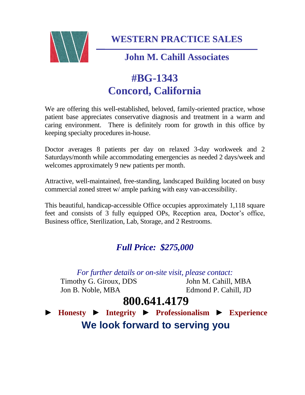

**WESTERN PRACTICE SALES**

### **John M. Cahill Associates**

# **#BG-1343 Concord, California**

We are offering this well-established, beloved, family-oriented practice, whose patient base appreciates conservative diagnosis and treatment in a warm and caring environment. There is definitely room for growth in this office by keeping specialty procedures in-house.

Doctor averages 8 patients per day on relaxed 3-day workweek and 2 Saturdays/month while accommodating emergencies as needed 2 days/week and welcomes approximately 9 new patients per month.

Attractive, well-maintained, free-standing, landscaped Building located on busy commercial zoned street w/ ample parking with easy van-accessibility.

This beautiful, handicap-accessible Office occupies approximately 1,118 square feet and consists of 3 fully equipped OPs, Reception area, Doctor's office, Business office, Sterilization, Lab, Storage, and 2 Restrooms.

### *Full Price: \$275,000*

*For further details or on-site visit, please contact:*

Timothy G. Giroux, DDS John M. Cahill, MBA Jon B. Noble, MBA Edmond P. Cahill, JD

## **800.641.4179**

► **Honesty** ► **Integrity** ► **Professionalism** ► **Experience We look forward to serving you**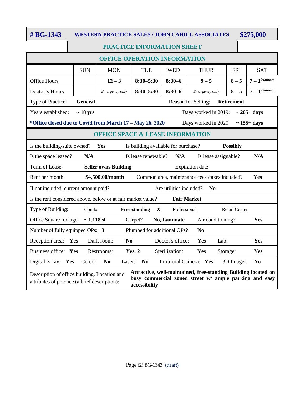#### **# BG-1343 WESTERN PRACTICE SALES / JOHN CAHILL ASSOCIATES \$275,000**

|                                                                                                                                                                                                                                            | PRACTICE INFORMATION SHEET |                          |                                     |                  |                        |                      |                           |
|--------------------------------------------------------------------------------------------------------------------------------------------------------------------------------------------------------------------------------------------|----------------------------|--------------------------|-------------------------------------|------------------|------------------------|----------------------|---------------------------|
| <b>OFFICE OPERATION INFORMATION</b>                                                                                                                                                                                                        |                            |                          |                                     |                  |                        |                      |                           |
|                                                                                                                                                                                                                                            | <b>SUN</b>                 | <b>MON</b>               | <b>TUE</b>                          | <b>WED</b>       | <b>THUR</b>            | <b>FRI</b>           | <b>SAT</b>                |
| <b>Office Hours</b>                                                                                                                                                                                                                        |                            | $12 - 3$                 | $8:30 - 5:30$                       | $8:30-6$         | $9 - 5$                | $8 - 5$              | $7-1$ <sup>2x/month</sup> |
| Doctor's Hours                                                                                                                                                                                                                             |                            | Emergency only           | $8:30 - 5:30$                       | $8:30 - 6$       | Emergency only         | $8 - 5$              | $7-1$ <sup>2x/month</sup> |
| Type of Practice:<br><b>General</b><br>Reason for Selling:<br><b>Retirement</b>                                                                                                                                                            |                            |                          |                                     |                  |                        |                      |                           |
| Years established:<br>$\sim$ 18 yrs<br>Days worked in 2019:<br>$\sim$ 205+ days                                                                                                                                                            |                            |                          |                                     |                  |                        |                      |                           |
| *Office closed due to Covid from March 17 - May 26, 2020<br>Days worked in 2020<br>$\sim$ 155+ days                                                                                                                                        |                            |                          |                                     |                  |                        |                      |                           |
| <b>OFFICE SPACE &amp; LEASE INFORMATION</b>                                                                                                                                                                                                |                            |                          |                                     |                  |                        |                      |                           |
| Is the building/suite owned?<br>Yes<br>Is building available for purchase?<br><b>Possibly</b>                                                                                                                                              |                            |                          |                                     |                  |                        |                      |                           |
| Is the space leased?                                                                                                                                                                                                                       | N/A                        |                          | Is lease renewable?                 | N/A              | Is lease assignable?   |                      | N/A                       |
| Term of Lease:<br><b>Seller owns Building</b><br>Expiration date:                                                                                                                                                                          |                            |                          |                                     |                  |                        |                      |                           |
| \$4,500.00/month<br>Common area, maintenance fees /taxes included?<br>Rent per month<br>Yes                                                                                                                                                |                            |                          |                                     |                  |                        |                      |                           |
| If not included, current amount paid?<br>Are utilities included?<br>N <sub>0</sub>                                                                                                                                                         |                            |                          |                                     |                  |                        |                      |                           |
| Is the rent considered above, below or at fair market value?<br><b>Fair Market</b>                                                                                                                                                         |                            |                          |                                     |                  |                        |                      |                           |
| Type of Building:                                                                                                                                                                                                                          | Condo                      |                          | $\mathbf X$<br><b>Free-standing</b> | Professional     |                        | <b>Retail Center</b> |                           |
| Office Square footage: $\sim$ 1,118 sf                                                                                                                                                                                                     |                            |                          | Carpet?                             | No, Laminate     | Air conditioning?      |                      | Yes                       |
| Number of fully equipped OPs: 3<br>Plumbed for additional OPs?<br>N <sub>0</sub>                                                                                                                                                           |                            |                          |                                     |                  |                        |                      |                           |
| Reception area: Yes                                                                                                                                                                                                                        |                            | No<br>Dark room:         |                                     | Doctor's office: | Yes<br>Lab:            |                      | Yes                       |
| Business office: Yes                                                                                                                                                                                                                       |                            | Restrooms:               | Yes, 2                              | Sterilization:   | Yes                    | Storage:             | Yes                       |
| Digital X-ray: Yes                                                                                                                                                                                                                         | Cerec:                     | N <sub>0</sub><br>Laser: | No                                  |                  | Intra-oral Camera: Yes | 3D Imager:           | N <sub>0</sub>            |
| Attractive, well-maintained, free-standing Building located on<br>Description of office building, Location and<br>busy commercial zoned street w/ ample parking and easy<br>attributes of practice (a brief description):<br>accessibility |                            |                          |                                     |                  |                        |                      |                           |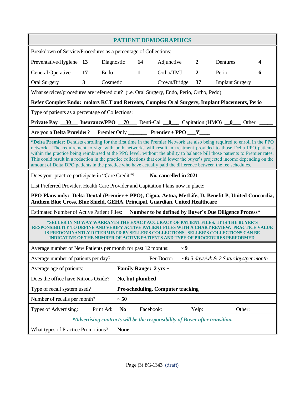| <b>PATIENT DEMOGRAPHICS</b>                                                                                                                                                                                                                                                                                                                                                                                                                                                                                                                                                                                                   |                |            |                       |           |              |                  |                                             |   |
|-------------------------------------------------------------------------------------------------------------------------------------------------------------------------------------------------------------------------------------------------------------------------------------------------------------------------------------------------------------------------------------------------------------------------------------------------------------------------------------------------------------------------------------------------------------------------------------------------------------------------------|----------------|------------|-----------------------|-----------|--------------|------------------|---------------------------------------------|---|
| Breakdown of Service/Procedures as a percentage of Collections:                                                                                                                                                                                                                                                                                                                                                                                                                                                                                                                                                               |                |            |                       |           |              |                  |                                             |   |
| Preventative/Hygiene                                                                                                                                                                                                                                                                                                                                                                                                                                                                                                                                                                                                          | <b>13</b>      | Diagnostic |                       | 14        | Adjunctive   | $\overline{2}$   | Dentures                                    | 4 |
| General Operative                                                                                                                                                                                                                                                                                                                                                                                                                                                                                                                                                                                                             | 17             | Endo       | $\mathbf{1}$          |           | Ortho/TMJ    | $\boldsymbol{2}$ | Perio                                       | 6 |
| <b>Oral Surgery</b>                                                                                                                                                                                                                                                                                                                                                                                                                                                                                                                                                                                                           | 3 <sup>1</sup> | Cosmetic   |                       |           | Crown/Bridge | 37               | <b>Implant Surgery</b>                      |   |
| What services/procedures are referred out? (i.e. Oral Surgery, Endo, Perio, Ortho, Pedo)                                                                                                                                                                                                                                                                                                                                                                                                                                                                                                                                      |                |            |                       |           |              |                  |                                             |   |
| Refer Complex Endo: molars RCT and Retreats, Complex Oral Surgery, Implant Placements, Perio                                                                                                                                                                                                                                                                                                                                                                                                                                                                                                                                  |                |            |                       |           |              |                  |                                             |   |
| Type of patients as a percentage of Collections:                                                                                                                                                                                                                                                                                                                                                                                                                                                                                                                                                                              |                |            |                       |           |              |                  |                                             |   |
| Private Pay 30 Insurance/PPO 70 Denti-Cal 0 Capitation (HMO) 0 Other                                                                                                                                                                                                                                                                                                                                                                                                                                                                                                                                                          |                |            |                       |           |              |                  |                                             |   |
| Are you a <b>Delta Provider</b> ? Premier Only <b>Premier + PPO</b> $Y$                                                                                                                                                                                                                                                                                                                                                                                                                                                                                                                                                       |                |            |                       |           |              |                  |                                             |   |
| *Delta Premier: Dentists enrolling for the first time in the Premier Network are also being required to enroll in the PPO<br>network. The requirement to sign with both networks will result in treatment provided to those Delta PPO patients<br>within the practice being reimbursed at the PPO level, without the ability to balance bill those patients to Premier rates.<br>This could result in a reduction in the practice collections that could lower the buyer's projected income depending on the<br>amount of Delta DPO patients in the practice who have actually paid the difference between the fee schedules. |                |            |                       |           |              |                  |                                             |   |
| No, cancelled in 2021<br>Does your practice participate in "Care Credit"?                                                                                                                                                                                                                                                                                                                                                                                                                                                                                                                                                     |                |            |                       |           |              |                  |                                             |   |
| List Preferred Provider, Health Care Provider and Capitation Plans now in place:                                                                                                                                                                                                                                                                                                                                                                                                                                                                                                                                              |                |            |                       |           |              |                  |                                             |   |
| PPO Plans only: Delta Dental (Premier + PPO), Cigna, Aetna, MetLife, D. Benefit P, United Concordia,<br>Anthem Blue Cross, Blue Shield, GEHA, Principal, Guardian, United Healthcare                                                                                                                                                                                                                                                                                                                                                                                                                                          |                |            |                       |           |              |                  |                                             |   |
| Estimated Number of Active Patient Files: Number to be defined by Buyer's Due Diligence Process*                                                                                                                                                                                                                                                                                                                                                                                                                                                                                                                              |                |            |                       |           |              |                  |                                             |   |
| *SELLER IN NO WAY WARRANTS THE EXACT ACCURACY OF PATIENT FILES. IT IS THE BUYER'S<br><b>RESPONSIBIL</b><br><b>VALUE</b><br>Y TO DEFINE AND VERIEY ACTIVE PATIENT<br>IS PREDOMINANTLY DETERMINED BY SELLER'S COLLECTIONS.  SELLER'S COLLECTIONS CAN BE<br><b>INDICATIVE OF THE NUMBER OF ACTIVE PATIENTS AND TYPE OF PROCEDURES PERFORMED.</b>                                                                                                                                                                                                                                                                                 |                |            |                       |           |              |                  |                                             |   |
| Average number of New Patients per month for past 12 months:<br>$\sim$ 9                                                                                                                                                                                                                                                                                                                                                                                                                                                                                                                                                      |                |            |                       |           |              |                  |                                             |   |
| Average number of patients per day?                                                                                                                                                                                                                                                                                                                                                                                                                                                                                                                                                                                           |                |            |                       |           | Per-Doctor:  |                  | $\sim$ 8: 3 days/wk & 2 Saturdays/per month |   |
| Average age of patients:                                                                                                                                                                                                                                                                                                                                                                                                                                                                                                                                                                                                      |                |            | Family Range: 2 yrs + |           |              |                  |                                             |   |
| Does the office have Nitrous Oxide?<br>No, but plumbed                                                                                                                                                                                                                                                                                                                                                                                                                                                                                                                                                                        |                |            |                       |           |              |                  |                                             |   |
| <b>Pre-scheduling, Computer tracking</b><br>Type of recall system used?                                                                                                                                                                                                                                                                                                                                                                                                                                                                                                                                                       |                |            |                       |           |              |                  |                                             |   |
| Number of recalls per month?                                                                                                                                                                                                                                                                                                                                                                                                                                                                                                                                                                                                  |                |            | ~50                   |           |              |                  |                                             |   |
| Types of Advertising:                                                                                                                                                                                                                                                                                                                                                                                                                                                                                                                                                                                                         |                | Print Ad:  | N <sub>0</sub>        | Facebook: |              | Yelp:            | Other:                                      |   |
| *Advertising contracts will be the responsibility of Buyer after transition.                                                                                                                                                                                                                                                                                                                                                                                                                                                                                                                                                  |                |            |                       |           |              |                  |                                             |   |
| What types of Practice Promotions?<br><b>None</b>                                                                                                                                                                                                                                                                                                                                                                                                                                                                                                                                                                             |                |            |                       |           |              |                  |                                             |   |